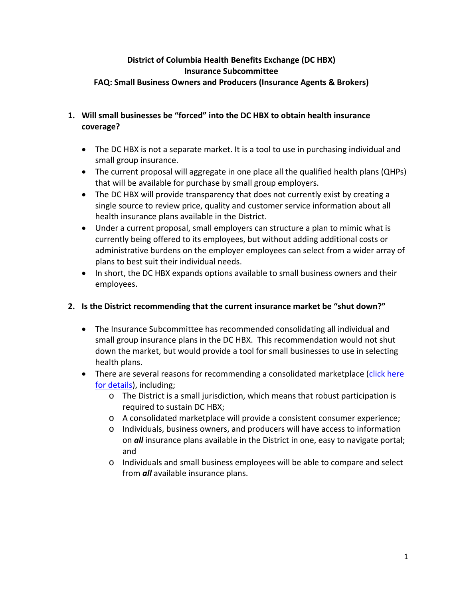### **District of Columbia Health Benefits Exchange (DC HBX) Insurance Subcommittee FAQ: Small Business Owners and Producers (Insurance Agents & Brokers)**

### **1. Will small businesses be "forced" into the DC HBX to obtain health insurance coverage?**

- The DC HBX is not a separate market. It is a tool to use in purchasing individual and small group insurance.
- The current proposal will aggregate in one place all the qualified health plans (QHPs) that will be available for purchase by small group employers.
- The DC HBX will provide transparency that does not currently exist by creating a single source to review price, quality and customer service information about all health insurance plans available in the District.
- Under a current proposal, small employers can structure a plan to mimic what is currently being offered to its employees, but without adding additional costs or administrative burdens on the employer employees can select from a wider array of plans to best suit their individual needs.
- In short, the DC HBX expands options available to small business owners and their employees.

# **2. Is the District recommending that the current insurance market be "shut down?"**

- The Insurance Subcommittee has recommended consolidating all individual and small group insurance plans in the DC HBX. This recommendation would not shut down the market, but would provide a tool for small businesses to use in selecting health plans.
- There are several reasons for recommending a consolidated marketplace (click here [for details\)](http://healthreform.dc.gov/DC/Health%20Reform/Health%20Reform%20Publication%20Files/WEB%20HRIC%20Market%20Recs%204%2012%2012.pdf), including;
	- o The District is a small jurisdiction, which means that robust participation is required to sustain DC HBX;
	- o A consolidated marketplace will provide a consistent consumer experience;
	- o Individuals, business owners, and producers will have access to information on *all* insurance plans available in the District in one, easy to navigate portal; and
	- o Individuals and small business employees will be able to compare and select from *all* available insurance plans.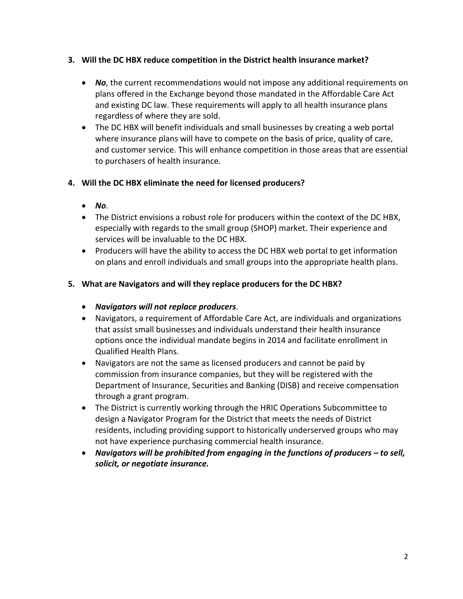### **3. Will the DC HBX reduce competition in the District health insurance market?**

- *No*, the current recommendations would not impose any additional requirements on plans offered in the Exchange beyond those mandated in the Affordable Care Act and existing DC law. These requirements will apply to all health insurance plans regardless of where they are sold.
- The DC HBX will benefit individuals and small businesses by creating a web portal where insurance plans will have to compete on the basis of price, quality of care, and customer service. This will enhance competition in those areas that are essential to purchasers of health insurance.

## **4. Will the DC HBX eliminate the need for licensed producers?**

- *No*.
- The District envisions a robust role for producers within the context of the DC HBX, especially with regards to the small group (SHOP) market. Their experience and services will be invaluable to the DC HBX.
- Producers will have the ability to access the DC HBX web portal to get information on plans and enroll individuals and small groups into the appropriate health plans.

## **5. What are Navigators and will they replace producers for the DC HBX?**

- *Navigators will not replace producers*.
- Navigators, a requirement of Affordable Care Act, are individuals and organizations that assist small businesses and individuals understand their health insurance options once the individual mandate begins in 2014 and facilitate enrollment in Qualified Health Plans.
- Navigators are not the same as licensed producers and cannot be paid by commission from insurance companies, but they will be registered with the Department of Insurance, Securities and Banking (DISB) and receive compensation through a grant program.
- The District is currently working through the HRIC Operations Subcommittee to design a Navigator Program for the District that meets the needs of District residents, including providing support to historically underserved groups who may not have experience purchasing commercial health insurance.
- *Navigators will be prohibited from engaging in the functions of producers – to sell, solicit, or negotiate insurance.*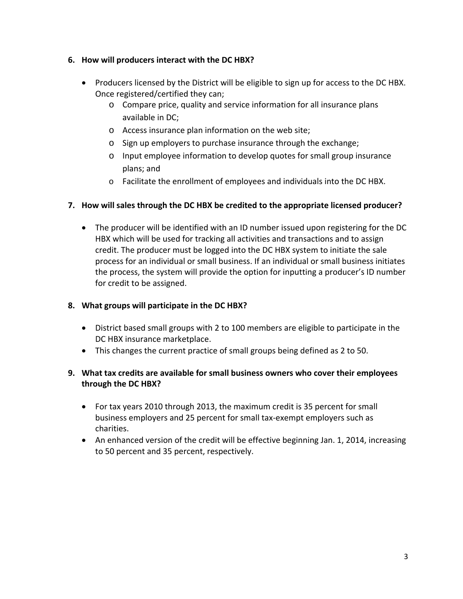## **6. How will producers interact with the DC HBX?**

- Producers licensed by the District will be eligible to sign up for access to the DC HBX. Once registered/certified they can;
	- o Compare price, quality and service information for all insurance plans available in DC;
	- o Access insurance plan information on the web site;
	- o Sign up employers to purchase insurance through the exchange;
	- o Input employee information to develop quotes for small group insurance plans; and
	- o Facilitate the enrollment of employees and individuals into the DC HBX.

## **7. How will sales through the DC HBX be credited to the appropriate licensed producer?**

• The producer will be identified with an ID number issued upon registering for the DC HBX which will be used for tracking all activities and transactions and to assign credit. The producer must be logged into the DC HBX system to initiate the sale process for an individual or small business. If an individual or small business initiates the process, the system will provide the option for inputting a producer's ID number for credit to be assigned.

### **8. What groups will participate in the DC HBX?**

- District based small groups with 2 to 100 members are eligible to participate in the DC HBX insurance marketplace.
- This changes the current practice of small groups being defined as 2 to 50.

# **9. What tax credits are available for small business owners who cover their employees through the DC HBX?**

- For tax years 2010 through 2013, the maximum credit is 35 percent for small business employers and 25 percent for small tax-exempt employers such as charities.
- An enhanced version of the credit will be effective beginning Jan. 1, 2014, increasing to 50 percent and 35 percent, respectively.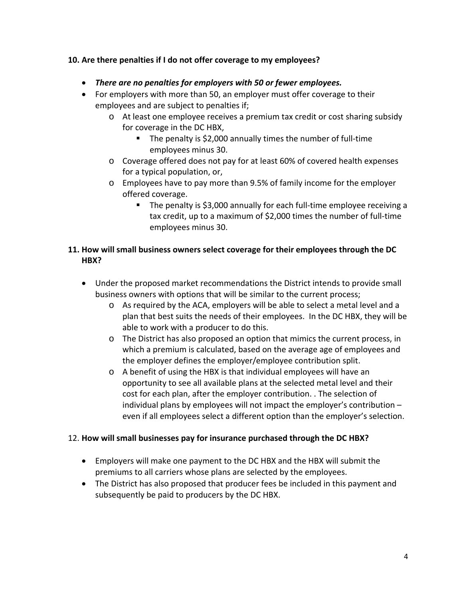## **10. Are there penalties if I do not offer coverage to my employees?**

- *There are no penalties for employers with 50 or fewer employees.*
- For employers with more than 50, an employer must offer coverage to their employees and are subject to penalties if;
	- o At least one employee receives a premium tax credit or cost sharing subsidy for coverage in the DC HBX,
		- The penalty is \$2,000 annually times the number of full-time employees minus 30.
	- o Coverage offered does not pay for at least 60% of covered health expenses for a typical population, or,
	- o Employees have to pay more than 9.5% of family income for the employer offered coverage.
		- The penalty is \$3,000 annually for each full-time employee receiving a tax credit, up to a maximum of \$2,000 times the number of full-time employees minus 30.

## **11. How will small business owners select coverage for their employees through the DC HBX?**

- Under the proposed market recommendations the District intends to provide small business owners with options that will be similar to the current process;
	- o As required by the ACA, employers will be able to select a metal level and a plan that best suits the needs of their employees. In the DC HBX, they will be able to work with a producer to do this.
	- o The District has also proposed an option that mimics the current process, in which a premium is calculated, based on the average age of employees and the employer defines the employer/employee contribution split.
	- o A benefit of using the HBX is that individual employees will have an opportunity to see all available plans at the selected metal level and their cost for each plan, after the employer contribution. . The selection of individual plans by employees will not impact the employer's contribution – even if all employees select a different option than the employer's selection.

# 12. **How will small businesses pay for insurance purchased through the DC HBX?**

- Employers will make one payment to the DC HBX and the HBX will submit the premiums to all carriers whose plans are selected by the employees.
- The District has also proposed that producer fees be included in this payment and subsequently be paid to producers by the DC HBX.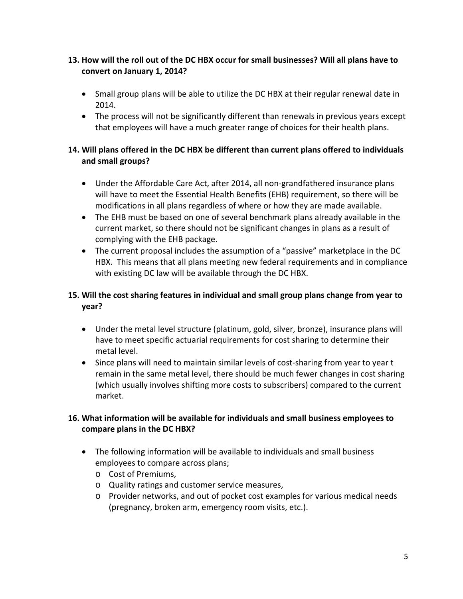# **13. How will the roll out of the DC HBX occur for small businesses? Will all plans have to convert on January 1, 2014?**

- Small group plans will be able to utilize the DC HBX at their regular renewal date in 2014.
- The process will not be significantly different than renewals in previous years except that employees will have a much greater range of choices for their health plans.

# **14. Will plans offered in the DC HBX be different than current plans offered to individuals and small groups?**

- Under the Affordable Care Act, after 2014, all non-grandfathered insurance plans will have to meet the Essential Health Benefits (EHB) requirement, so there will be modifications in all plans regardless of where or how they are made available.
- The EHB must be based on one of several benchmark plans already available in the current market, so there should not be significant changes in plans as a result of complying with the EHB package.
- The current proposal includes the assumption of a "passive" marketplace in the DC HBX. This means that all plans meeting new federal requirements and in compliance with existing DC law will be available through the DC HBX.

# **15. Will the cost sharing features in individual and small group plans change from year to year?**

- Under the metal level structure (platinum, gold, silver, bronze), insurance plans will have to meet specific actuarial requirements for cost sharing to determine their metal level.
- Since plans will need to maintain similar levels of cost-sharing from year to year t remain in the same metal level, there should be much fewer changes in cost sharing (which usually involves shifting more costs to subscribers) compared to the current market.

# **16. What information will be available for individuals and small business employees to compare plans in the DC HBX?**

- The following information will be available to individuals and small business employees to compare across plans;
	- o Cost of Premiums,
	- o Quality ratings and customer service measures,
	- o Provider networks, and out of pocket cost examples for various medical needs (pregnancy, broken arm, emergency room visits, etc.).